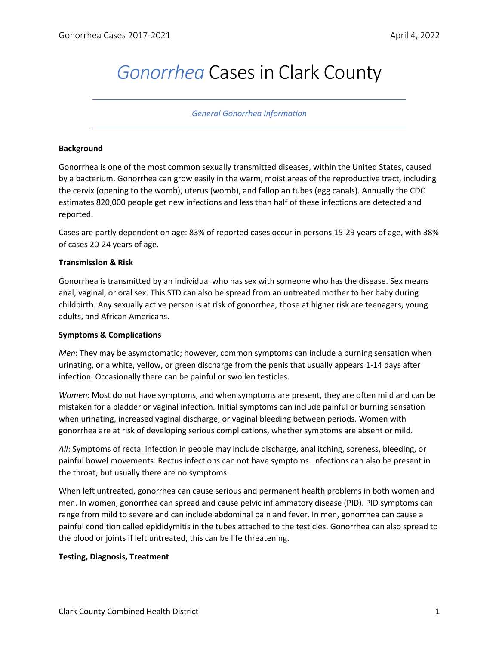# *Gonorrhea* Cases in Clark County

#### *General Gonorrhea Information*

### **Background**

Gonorrhea is one of the most common sexually transmitted diseases, within the United States, caused by a bacterium. Gonorrhea can grow easily in the warm, moist areas of the reproductive tract, including the cervix (opening to the womb), uterus (womb), and fallopian tubes (egg canals). Annually the CDC estimates 820,000 people get new infections and less than half of these infections are detected and reported.

Cases are partly dependent on age: 83% of reported cases occur in persons 15-29 years of age, with 38% of cases 20-24 years of age.

#### **Transmission & Risk**

Gonorrhea is transmitted by an individual who has sex with someone who has the disease. Sex means anal, vaginal, or oral sex. This STD can also be spread from an untreated mother to her baby during childbirth. Any sexually active person is at risk of gonorrhea, those at higher risk are teenagers, young adults, and African Americans.

## **Symptoms & Complications**

*Men*: They may be asymptomatic; however, common symptoms can include a burning sensation when urinating, or a white, yellow, or green discharge from the penis that usually appears 1-14 days after infection. Occasionally there can be painful or swollen testicles.

*Women*: Most do not have symptoms, and when symptoms are present, they are often mild and can be mistaken for a bladder or vaginal infection. Initial symptoms can include painful or burning sensation when urinating, increased vaginal discharge, or vaginal bleeding between periods. Women with gonorrhea are at risk of developing serious complications, whether symptoms are absent or mild.

*All*: Symptoms of rectal infection in people may include discharge, anal itching, soreness, bleeding, or painful bowel movements. Rectus infections can not have symptoms. Infections can also be present in the throat, but usually there are no symptoms.

When left untreated, gonorrhea can cause serious and permanent health problems in both women and men. In women, gonorrhea can spread and cause pelvic inflammatory disease (PID). PID symptoms can range from mild to severe and can include abdominal pain and fever. In men, gonorrhea can cause a painful condition called epididymitis in the tubes attached to the testicles. Gonorrhea can also spread to the blood or joints if left untreated, this can be life threatening.

#### **Testing, Diagnosis, Treatment**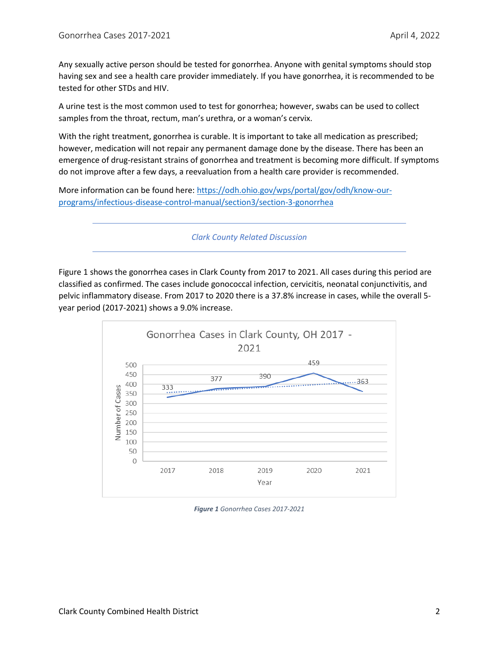Any sexually active person should be tested for gonorrhea. Anyone with genital symptoms should stop having sex and see a health care provider immediately. If you have gonorrhea, it is recommended to be tested for other STDs and HIV.

A urine test is the most common used to test for gonorrhea; however, swabs can be used to collect samples from the throat, rectum, man's urethra, or a woman's cervix.

With the right treatment, gonorrhea is curable. It is important to take all medication as prescribed; however, medication will not repair any permanent damage done by the disease. There has been an emergence of drug-resistant strains of gonorrhea and treatment is becoming more difficult. If symptoms do not improve after a few days, a reevaluation from a health care provider is recommended.

More information can be found here[: https://odh.ohio.gov/wps/portal/gov/odh/know-our](https://odh.ohio.gov/wps/portal/gov/odh/know-our-programs/infectious-disease-control-manual/section3/section-3-gonorrhea)[programs/infectious-disease-control-manual/section3/section-3-gonorrhea](https://odh.ohio.gov/wps/portal/gov/odh/know-our-programs/infectious-disease-control-manual/section3/section-3-gonorrhea)

*Clark County Related Discussion*

Figure 1 shows the gonorrhea cases in Clark County from 2017 to 2021. All cases during this period are classified as confirmed. The cases include gonococcal infection, cervicitis, neonatal conjunctivitis, and pelvic inflammatory disease. From 2017 to 2020 there is a 37.8% increase in cases, while the overall 5 year period (2017-2021) shows a 9.0% increase.



*Figure 1 Gonorrhea Cases 2017-2021*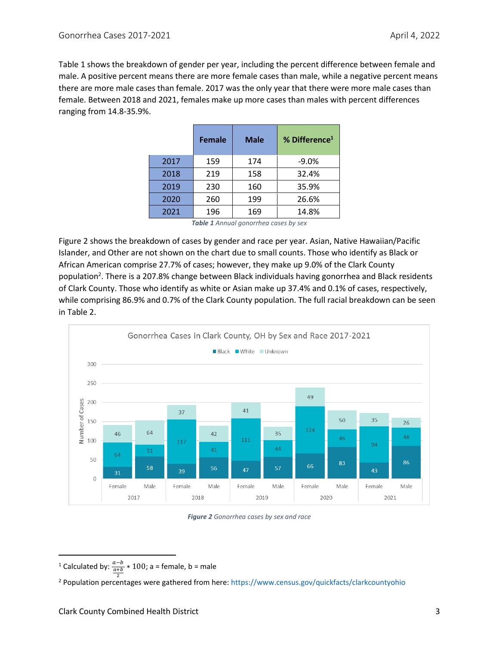Table 1 shows the breakdown of gender per year, including the percent difference between female and male. A positive percent means there are more female cases than male, while a negative percent means there are more male cases than female. 2017 was the only year that there were more male cases than female. Between 2018 and 2021, females make up more cases than males with percent differences ranging from 14.8-35.9%.

|      | <b>Female</b> | <b>Male</b> | % Difference <sup>1</sup> |
|------|---------------|-------------|---------------------------|
| 2017 | 159           | 174         | $-9.0%$                   |
| 2018 | 219           | 158         | 32.4%                     |
| 2019 | 230           | 160         | 35.9%                     |
| 2020 | 260           | 199         | 26.6%                     |
| 2021 | 196           | 169         | 14.8%                     |

*Table 1 Annual gonorrhea cases by sex*

Figure 2 shows the breakdown of cases by gender and race per year. Asian, Native Hawaiian/Pacific Islander, and Other are not shown on the chart due to small counts. Those who identify as Black or African American comprise 27.7% of cases; however, they make up 9.0% of the Clark County population<sup>2</sup>. There is a 207.8% change between Black individuals having gonorrhea and Black residents of Clark County. Those who identify as white or Asian make up 37.4% and 0.1% of cases, respectively, while comprising 86.9% and 0.7% of the Clark County population. The full racial breakdown can be seen in Table 2.



*Figure 2 Gonorrhea cases by sex and race*

<sup>&</sup>lt;sup>1</sup> Calculated by:  $\frac{a-b}{a+b} * 100$ ; a = female, b = male

<sup>2</sup> <sup>2</sup> Population percentages were gathered from here: https://www.census.gov/quickfacts/clarkcountyohio